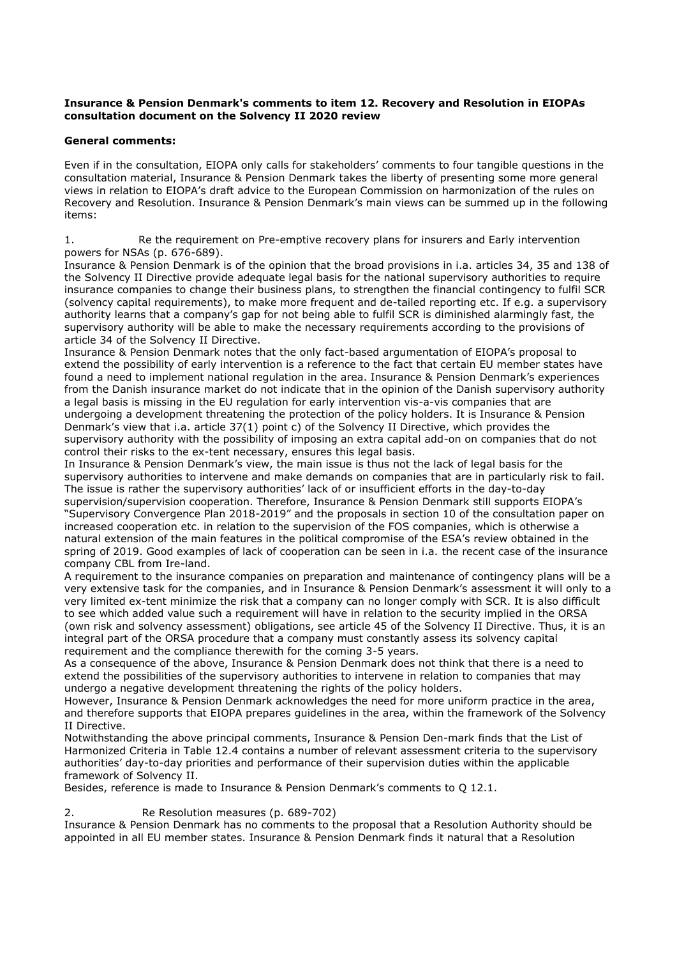#### **Insurance & Pension Denmark's comments to item 12. Recovery and Resolution in EIOPAs consultation document on the Solvency II 2020 review**

### **General comments:**

Even if in the consultation, EIOPA only calls for stakeholders' comments to four tangible questions in the consultation material, Insurance & Pension Denmark takes the liberty of presenting some more general views in relation to EIOPA's draft advice to the European Commission on harmonization of the rules on Recovery and Resolution. Insurance & Pension Denmark's main views can be summed up in the following items:

1. Re the requirement on Pre-emptive recovery plans for insurers and Early intervention powers for NSAs (p. 676-689).

Insurance & Pension Denmark is of the opinion that the broad provisions in i.a. articles 34, 35 and 138 of the Solvency II Directive provide adequate legal basis for the national supervisory authorities to require insurance companies to change their business plans, to strengthen the financial contingency to fulfil SCR (solvency capital requirements), to make more frequent and de-tailed reporting etc. If e.g. a supervisory authority learns that a company's gap for not being able to fulfil SCR is diminished alarmingly fast, the supervisory authority will be able to make the necessary requirements according to the provisions of article 34 of the Solvency II Directive.

Insurance & Pension Denmark notes that the only fact-based argumentation of EIOPA's proposal to extend the possibility of early intervention is a reference to the fact that certain EU member states have found a need to implement national regulation in the area. Insurance & Pension Denmark's experiences from the Danish insurance market do not indicate that in the opinion of the Danish supervisory authority a legal basis is missing in the EU regulation for early intervention vis-a-vis companies that are undergoing a development threatening the protection of the policy holders. It is Insurance & Pension Denmark's view that i.a. article 37(1) point c) of the Solvency II Directive, which provides the supervisory authority with the possibility of imposing an extra capital add-on on companies that do not control their risks to the ex-tent necessary, ensures this legal basis.

In Insurance & Pension Denmark's view, the main issue is thus not the lack of legal basis for the supervisory authorities to intervene and make demands on companies that are in particularly risk to fail. The issue is rather the supervisory authorities' lack of or insufficient efforts in the day-to-day supervision/supervision cooperation. Therefore, Insurance & Pension Denmark still supports EIOPA's "Supervisory Convergence Plan 2018-2019" and the proposals in section 10 of the consultation paper on increased cooperation etc. in relation to the supervision of the FOS companies, which is otherwise a natural extension of the main features in the political compromise of the ESA's review obtained in the spring of 2019. Good examples of lack of cooperation can be seen in i.a. the recent case of the insurance company CBL from Ire-land.

A requirement to the insurance companies on preparation and maintenance of contingency plans will be a very extensive task for the companies, and in Insurance & Pension Denmark's assessment it will only to a very limited ex-tent minimize the risk that a company can no longer comply with SCR. It is also difficult to see which added value such a requirement will have in relation to the security implied in the ORSA (own risk and solvency assessment) obligations, see article 45 of the Solvency II Directive. Thus, it is an integral part of the ORSA procedure that a company must constantly assess its solvency capital requirement and the compliance therewith for the coming 3-5 years.

As a consequence of the above, Insurance & Pension Denmark does not think that there is a need to extend the possibilities of the supervisory authorities to intervene in relation to companies that may undergo a negative development threatening the rights of the policy holders.

However, Insurance & Pension Denmark acknowledges the need for more uniform practice in the area, and therefore supports that EIOPA prepares guidelines in the area, within the framework of the Solvency II Directive.

Notwithstanding the above principal comments, Insurance & Pension Den-mark finds that the List of Harmonized Criteria in Table 12.4 contains a number of relevant assessment criteria to the supervisory authorities' day-to-day priorities and performance of their supervision duties within the applicable framework of Solvency II.

Besides, reference is made to Insurance & Pension Denmark's comments to Q 12.1.

### 2. Re Resolution measures (p. 689-702)

Insurance & Pension Denmark has no comments to the proposal that a Resolution Authority should be appointed in all EU member states. Insurance & Pension Denmark finds it natural that a Resolution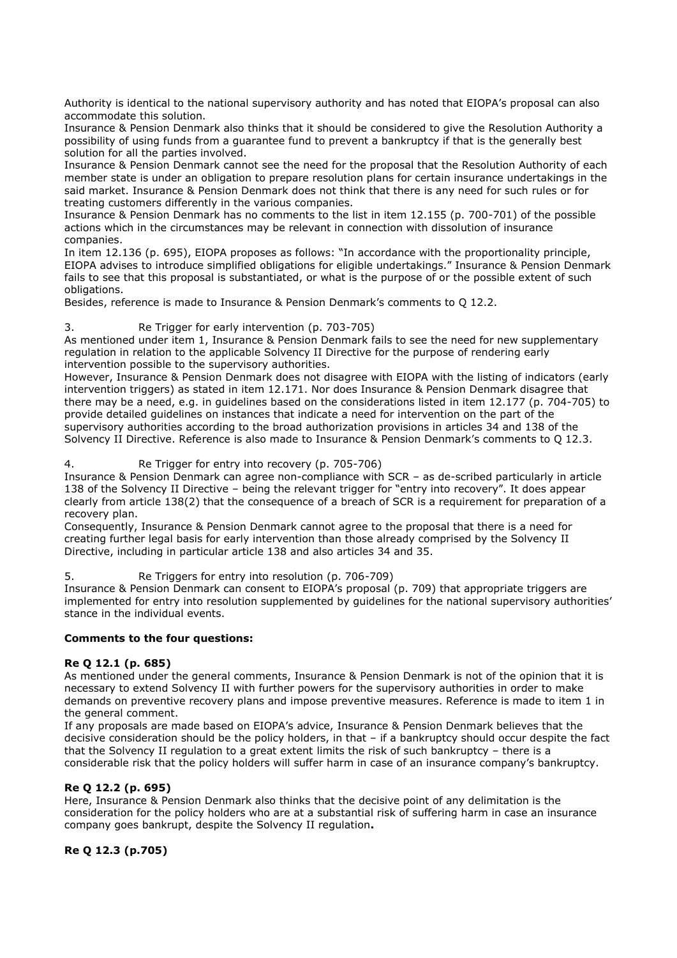Authority is identical to the national supervisory authority and has noted that EIOPA's proposal can also accommodate this solution.

Insurance & Pension Denmark also thinks that it should be considered to give the Resolution Authority a possibility of using funds from a guarantee fund to prevent a bankruptcy if that is the generally best solution for all the parties involved.

Insurance & Pension Denmark cannot see the need for the proposal that the Resolution Authority of each member state is under an obligation to prepare resolution plans for certain insurance undertakings in the said market. Insurance & Pension Denmark does not think that there is any need for such rules or for treating customers differently in the various companies.

Insurance & Pension Denmark has no comments to the list in item 12.155 (p. 700-701) of the possible actions which in the circumstances may be relevant in connection with dissolution of insurance companies.

In item 12.136 (p. 695), EIOPA proposes as follows: "In accordance with the proportionality principle, EIOPA advises to introduce simplified obligations for eligible undertakings." Insurance & Pension Denmark fails to see that this proposal is substantiated, or what is the purpose of or the possible extent of such obligations.

Besides, reference is made to Insurance & Pension Denmark's comments to Q 12.2.

# 3. Re Trigger for early intervention (p. 703-705)

As mentioned under item 1, Insurance & Pension Denmark fails to see the need for new supplementary regulation in relation to the applicable Solvency II Directive for the purpose of rendering early intervention possible to the supervisory authorities.

However, Insurance & Pension Denmark does not disagree with EIOPA with the listing of indicators (early intervention triggers) as stated in item 12.171. Nor does Insurance & Pension Denmark disagree that there may be a need, e.g. in guidelines based on the considerations listed in item 12.177 (p. 704-705) to provide detailed guidelines on instances that indicate a need for intervention on the part of the supervisory authorities according to the broad authorization provisions in articles 34 and 138 of the Solvency II Directive. Reference is also made to Insurance & Pension Denmark's comments to Q 12.3.

4. Re Trigger for entry into recovery (p. 705-706)

Insurance & Pension Denmark can agree non-compliance with SCR – as de-scribed particularly in article 138 of the Solvency II Directive – being the relevant trigger for "entry into recovery". It does appear clearly from article 138(2) that the consequence of a breach of SCR is a requirement for preparation of a recovery plan.

Consequently, Insurance & Pension Denmark cannot agree to the proposal that there is a need for creating further legal basis for early intervention than those already comprised by the Solvency II Directive, including in particular article 138 and also articles 34 and 35.

5. Re Triggers for entry into resolution (p. 706-709)

Insurance & Pension Denmark can consent to EIOPA's proposal (p. 709) that appropriate triggers are implemented for entry into resolution supplemented by guidelines for the national supervisory authorities' stance in the individual events.

### **Comments to the four questions:**

### **Re Q 12.1 (p. 685)**

As mentioned under the general comments, Insurance & Pension Denmark is not of the opinion that it is necessary to extend Solvency II with further powers for the supervisory authorities in order to make demands on preventive recovery plans and impose preventive measures. Reference is made to item 1 in the general comment.

If any proposals are made based on EIOPA's advice, Insurance & Pension Denmark believes that the decisive consideration should be the policy holders, in that – if a bankruptcy should occur despite the fact that the Solvency II regulation to a great extent limits the risk of such bankruptcy – there is a considerable risk that the policy holders will suffer harm in case of an insurance company's bankruptcy.

# **Re Q 12.2 (p. 695)**

Here, Insurance & Pension Denmark also thinks that the decisive point of any delimitation is the consideration for the policy holders who are at a substantial risk of suffering harm in case an insurance company goes bankrupt, despite the Solvency II regulation**.**

# **Re Q 12.3 (p.705)**